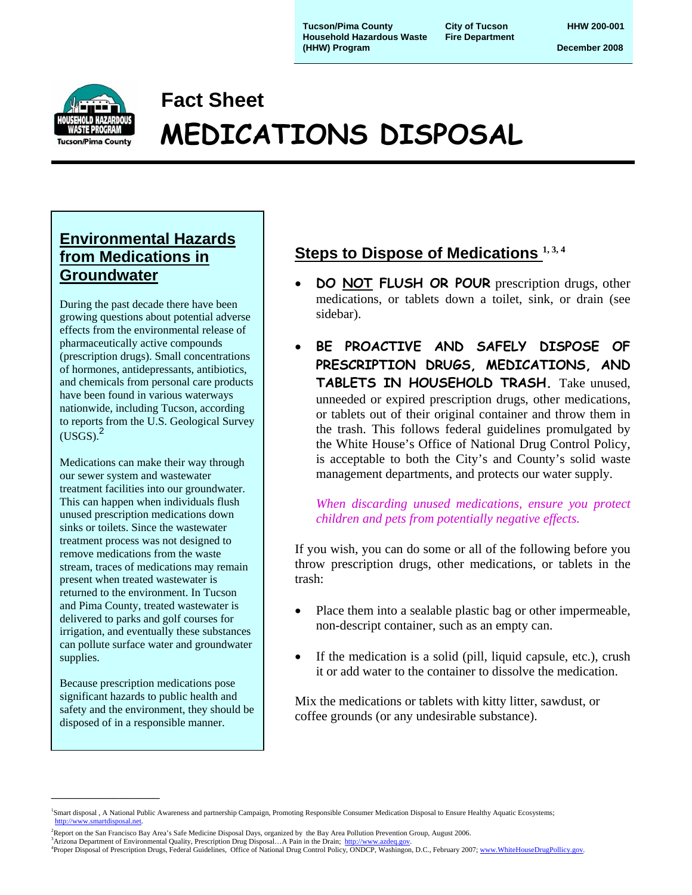**Tucson/Pima County** City of Tucson **COUNT HHW 200-001**<br>
Household Hazardous Waste Fire Department **Household Hazardous Waste (HHW) Program December 2008**



# **Fact Sheet MEDICATIONS DISPOSAL**

## **Environmental Hazards from Medications in Groundwater**

During the past decade there have been growing questions about potential adverse effects from the environmental release of pharmaceutically active compounds (prescription drugs). Small concentrations of hormones, antidepressants, antibiotics, and chemicals from personal care products have been found in various waterways nationwide, including Tucson, according to reports from the U.S. Geological Survey  $(USGS).<sup>2</sup>$ 

Medications can make their way through our sewer system and wastewater treatment facilities into our groundwater. This can happen when individuals flush unused prescription medications down sinks or toilets. Since the wastewater treatment process was not designed to remove medications from the waste stream, traces of medications may remain present when treated wastewater is returned to the environment. In Tucson and Pima County, treated wastewater is delivered to parks and golf courses for irrigation, and eventually these substances can pollute surface water and groundwater supplies.

Because prescription medications pose significant hazards to public health and safety and the environment, they should be disposed of in a responsible manner.

\_\_\_\_\_\_\_\_\_\_\_\_\_\_\_\_

### Steps to Dispose of Medications <sup>1, 3, 4</sup> I

- **DO NOT FLUSH OR POUR** prescription drugs, other medications, or tablets down a toilet, sink, or drain (see sidebar).
- **BE PROACTIVE AND SAFELY DISPOSE OF PRESCRIPTION DRUGS, MEDICATIONS, AND TABLETS IN HOUSEHOLD TRASH.** Take unused, unneeded or expired prescription drugs, other medications, or tablets out of their original container and throw them in the trash. This follows federal guidelines promulgated by the White House's Office of National Drug Control Policy, is acceptable to both the City's and County's solid waste management departments, and protects our water supply.

*When discarding unused medications, ensure you protect children and pets from potentially negative effects.*

If you wish, you can do some or all of the following before you throw prescription drugs, other medications, or tablets in the trash:

- Place them into a sealable plastic bag or other impermeable, non-descript container, such as an empty can.
- If the medication is a solid (pill, liquid capsule, etc.), crush it or add water to the container to dissolve the medication.

Mix the medications or tablets with kitty litter, sawdust, or coffee grounds (or any undesirable substance).

<sup>1</sup> Smart disposal , A National Public Awareness and partnership Campaign, Promoting Responsible Consumer Medication Disposal to Ensure Healthy Aquatic Ecosystems; http://www.smartdisposal.net.

<sup>&</sup>lt;sup>2</sup>Report on the San Francisco Bay Area's Safe Medicine Disposal Days, organized by the Bay Area Pollution Prevention Group, August 2006.

<sup>&</sup>lt;sup>3</sup> Arizona Department of Environmental Quality, Prescription Drug Disposal... A Pain in the Drain; http://ww. <sup>4</sup>Proper Disposal of Prescription Drugs, Federal Guidelines, Office of National Drug Control Policy, ONDCP, Washingon, D.C., February 2007; www.WhiteHouseDrugPollicy.gov.